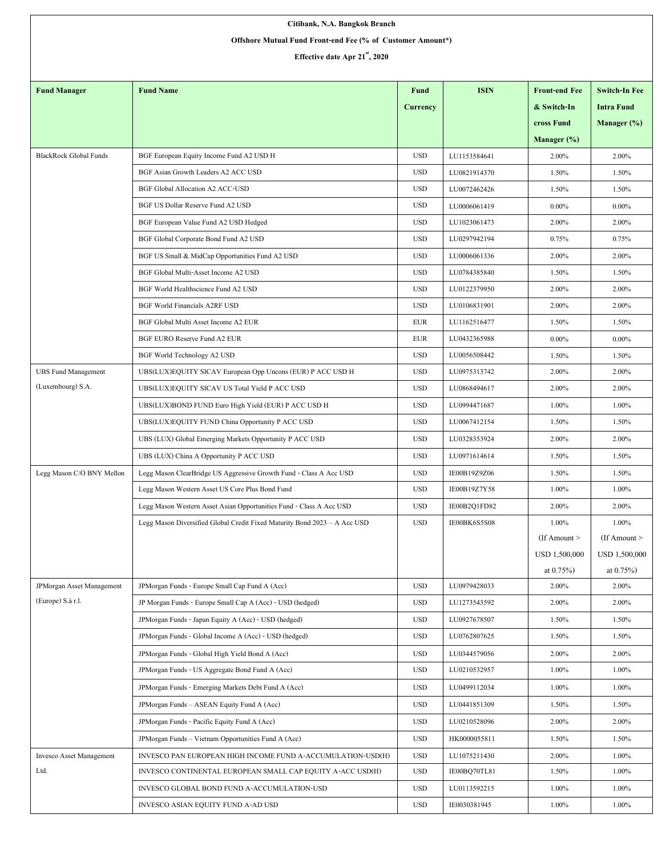| Offshore Mutual Fund Front-end Fee (% of Customer Amount*)<br>Effective date Apr 21 <sup>st</sup> , 2020<br><b>Fund Name</b><br><b>ISIN</b><br><b>Fund Manager</b><br>Fund<br><b>Front-end Fee</b><br><b>Intra Fund</b><br>Currency<br>& Switch-In<br>cross Fund<br>Manager $(\%)$<br><b>BlackRock Global Funds</b><br><b>USD</b><br>BGF European Equity Income Fund A2 USD H<br>LU1153584641<br>2.00%<br>2.00%<br>BGF Asian Growth Leaders A2 ACC USD<br><b>USD</b><br>LU0821914370<br>1.50%<br>1.50%<br><b>USD</b><br><b>BGF Global Allocation A2 ACC-USD</b><br>LU0072462426<br>1.50%<br>1.50%<br>BGF US Dollar Reserve Fund A2 USD<br><b>USD</b><br>LU0006061419<br>$0.00\%$<br>$0.00\%$<br><b>USD</b><br>2.00%<br>BGF European Value Fund A2 USD Hedged<br>LU1023061473<br>2.00% | Citibank, N.A. Bangkok Branch |  |  |  |  |                      |  |  |  |  |  |  |
|---------------------------------------------------------------------------------------------------------------------------------------------------------------------------------------------------------------------------------------------------------------------------------------------------------------------------------------------------------------------------------------------------------------------------------------------------------------------------------------------------------------------------------------------------------------------------------------------------------------------------------------------------------------------------------------------------------------------------------------------------------------------------------------|-------------------------------|--|--|--|--|----------------------|--|--|--|--|--|--|
|                                                                                                                                                                                                                                                                                                                                                                                                                                                                                                                                                                                                                                                                                                                                                                                       |                               |  |  |  |  |                      |  |  |  |  |  |  |
|                                                                                                                                                                                                                                                                                                                                                                                                                                                                                                                                                                                                                                                                                                                                                                                       |                               |  |  |  |  |                      |  |  |  |  |  |  |
|                                                                                                                                                                                                                                                                                                                                                                                                                                                                                                                                                                                                                                                                                                                                                                                       |                               |  |  |  |  |                      |  |  |  |  |  |  |
|                                                                                                                                                                                                                                                                                                                                                                                                                                                                                                                                                                                                                                                                                                                                                                                       |                               |  |  |  |  | <b>Switch-In Fee</b> |  |  |  |  |  |  |
|                                                                                                                                                                                                                                                                                                                                                                                                                                                                                                                                                                                                                                                                                                                                                                                       |                               |  |  |  |  |                      |  |  |  |  |  |  |
|                                                                                                                                                                                                                                                                                                                                                                                                                                                                                                                                                                                                                                                                                                                                                                                       |                               |  |  |  |  | Manager $(\%)$       |  |  |  |  |  |  |
|                                                                                                                                                                                                                                                                                                                                                                                                                                                                                                                                                                                                                                                                                                                                                                                       |                               |  |  |  |  |                      |  |  |  |  |  |  |
|                                                                                                                                                                                                                                                                                                                                                                                                                                                                                                                                                                                                                                                                                                                                                                                       |                               |  |  |  |  |                      |  |  |  |  |  |  |
|                                                                                                                                                                                                                                                                                                                                                                                                                                                                                                                                                                                                                                                                                                                                                                                       |                               |  |  |  |  |                      |  |  |  |  |  |  |
|                                                                                                                                                                                                                                                                                                                                                                                                                                                                                                                                                                                                                                                                                                                                                                                       |                               |  |  |  |  |                      |  |  |  |  |  |  |
|                                                                                                                                                                                                                                                                                                                                                                                                                                                                                                                                                                                                                                                                                                                                                                                       |                               |  |  |  |  |                      |  |  |  |  |  |  |
|                                                                                                                                                                                                                                                                                                                                                                                                                                                                                                                                                                                                                                                                                                                                                                                       |                               |  |  |  |  |                      |  |  |  |  |  |  |
| <b>USD</b><br>LU0297942194<br>BGF Global Corporate Bond Fund A2 USD<br>0.75%<br>0.75%                                                                                                                                                                                                                                                                                                                                                                                                                                                                                                                                                                                                                                                                                                 |                               |  |  |  |  |                      |  |  |  |  |  |  |
| <b>USD</b><br>BGF US Small & MidCap Opportunities Fund A2 USD<br>LU0006061336<br>2.00%<br>2.00%                                                                                                                                                                                                                                                                                                                                                                                                                                                                                                                                                                                                                                                                                       |                               |  |  |  |  |                      |  |  |  |  |  |  |
| LU0784385840<br>1.50%<br>BGF Global Multi-Asset Income A2 USD<br><b>USD</b><br>1.50%                                                                                                                                                                                                                                                                                                                                                                                                                                                                                                                                                                                                                                                                                                  |                               |  |  |  |  |                      |  |  |  |  |  |  |
| <b>USD</b><br>2.00%<br>BGF World Healthscience Fund A2 USD<br>LU0122379950<br>2.00%                                                                                                                                                                                                                                                                                                                                                                                                                                                                                                                                                                                                                                                                                                   |                               |  |  |  |  |                      |  |  |  |  |  |  |
| <b>BGF World Financials A2RF USD</b><br><b>USD</b><br>LU0106831901<br>2.00%<br>2.00%                                                                                                                                                                                                                                                                                                                                                                                                                                                                                                                                                                                                                                                                                                  |                               |  |  |  |  |                      |  |  |  |  |  |  |
| BGF Global Multi Asset Income A2 EUR<br><b>EUR</b><br>LU1162516477<br>1.50%<br>1.50%                                                                                                                                                                                                                                                                                                                                                                                                                                                                                                                                                                                                                                                                                                  |                               |  |  |  |  |                      |  |  |  |  |  |  |
| BGF EURO Reserve Fund A2 EUR<br>LU0432365988<br>EUR<br>$0.00\%$<br>$0.00\%$                                                                                                                                                                                                                                                                                                                                                                                                                                                                                                                                                                                                                                                                                                           |                               |  |  |  |  |                      |  |  |  |  |  |  |
| <b>USD</b><br>LU0056508442<br>BGF World Technology A2 USD<br>1.50%<br>1.50%                                                                                                                                                                                                                                                                                                                                                                                                                                                                                                                                                                                                                                                                                                           |                               |  |  |  |  |                      |  |  |  |  |  |  |
| <b>UBS Fund Management</b><br><b>USD</b><br>2.00%<br>UBS(LUX)EQUITY SICAV European Opp Uncons (EUR) P ACC USD H<br>LU0975313742<br>2.00%                                                                                                                                                                                                                                                                                                                                                                                                                                                                                                                                                                                                                                              |                               |  |  |  |  |                      |  |  |  |  |  |  |
| (Luxembourg) S.A.<br><b>USD</b><br>UBS(LUX)EQUITY SICAV US Total Yield P ACC USD<br>LU0868494617<br>2.00%<br>2.00%                                                                                                                                                                                                                                                                                                                                                                                                                                                                                                                                                                                                                                                                    |                               |  |  |  |  |                      |  |  |  |  |  |  |
| 1.00%<br>UBS(LUX)BOND FUND Euro High Yield (EUR) P ACC USD H<br><b>USD</b><br>LU0994471687<br>1.00%                                                                                                                                                                                                                                                                                                                                                                                                                                                                                                                                                                                                                                                                                   |                               |  |  |  |  |                      |  |  |  |  |  |  |
| <b>USD</b><br>UBS(LUX)EQUITY FUND China Opportunity P ACC USD<br>LU0067412154<br>1.50%<br>1.50%                                                                                                                                                                                                                                                                                                                                                                                                                                                                                                                                                                                                                                                                                       |                               |  |  |  |  |                      |  |  |  |  |  |  |
| <b>USD</b><br>LU0328353924<br>2.00%<br>UBS (LUX) Global Emerging Markets Opportunity P ACC USD<br>2.00%                                                                                                                                                                                                                                                                                                                                                                                                                                                                                                                                                                                                                                                                               |                               |  |  |  |  |                      |  |  |  |  |  |  |
| <b>USD</b><br>UBS (LUX) China A Opportunity P ACC USD<br>LU0971614614<br>1.50%<br>1.50%                                                                                                                                                                                                                                                                                                                                                                                                                                                                                                                                                                                                                                                                                               |                               |  |  |  |  |                      |  |  |  |  |  |  |
| Legg Mason C/O BNY Mellon<br><b>USD</b><br>IE00B19Z9Z06<br>1.50%<br>Legg Mason ClearBridge US Aggressive Growth Fund - Class A Acc USD<br>1.50%                                                                                                                                                                                                                                                                                                                                                                                                                                                                                                                                                                                                                                       |                               |  |  |  |  |                      |  |  |  |  |  |  |
| 1.00%<br>Legg Mason Western Asset US Core Plus Bond Fund<br><b>USD</b><br>IE00B19Z7Y58<br>1.00%                                                                                                                                                                                                                                                                                                                                                                                                                                                                                                                                                                                                                                                                                       |                               |  |  |  |  |                      |  |  |  |  |  |  |
| <b>USD</b><br>Legg Mason Western Asset Asian Opportunities Fund - Class A Acc USD<br>IE00B2Q1FD82<br>2.00%<br>2.00%                                                                                                                                                                                                                                                                                                                                                                                                                                                                                                                                                                                                                                                                   |                               |  |  |  |  |                      |  |  |  |  |  |  |
| Legg Mason Diversified Global Credit Fixed Maturity Bond 2023 - A Acc USD<br><b>USD</b><br>IE00BK6S5S08<br>1.00%<br>1.00%                                                                                                                                                                                                                                                                                                                                                                                                                                                                                                                                                                                                                                                             |                               |  |  |  |  |                      |  |  |  |  |  |  |
| $If$ Amount $>$                                                                                                                                                                                                                                                                                                                                                                                                                                                                                                                                                                                                                                                                                                                                                                       |                               |  |  |  |  | (If Amount $>$       |  |  |  |  |  |  |
| USD 1,500,000                                                                                                                                                                                                                                                                                                                                                                                                                                                                                                                                                                                                                                                                                                                                                                         |                               |  |  |  |  | USD 1,500,000        |  |  |  |  |  |  |
| at $0.75%$                                                                                                                                                                                                                                                                                                                                                                                                                                                                                                                                                                                                                                                                                                                                                                            |                               |  |  |  |  | at $0.75\%$ )        |  |  |  |  |  |  |
| JPMorgan Asset Management<br>JPMorgan Funds - Europe Small Cap Fund A (Acc)<br><b>USD</b><br>LU0979428033<br>2.00%<br>2.00%                                                                                                                                                                                                                                                                                                                                                                                                                                                                                                                                                                                                                                                           |                               |  |  |  |  |                      |  |  |  |  |  |  |
| (Europe) S.à r.l.<br>JP Morgan Funds - Europe Small Cap A (Acc) - USD (hedged)<br><b>USD</b><br>LU1273543592<br>2.00%<br>2.00%                                                                                                                                                                                                                                                                                                                                                                                                                                                                                                                                                                                                                                                        |                               |  |  |  |  |                      |  |  |  |  |  |  |
| JPMorgan Funds - Japan Equity A (Acc) - USD (hedged)<br><b>USD</b><br>LU0927678507<br>1.50%<br>1.50%                                                                                                                                                                                                                                                                                                                                                                                                                                                                                                                                                                                                                                                                                  |                               |  |  |  |  |                      |  |  |  |  |  |  |
| JPMorgan Funds - Global Income A (Acc) - USD (hedged)<br><b>USD</b><br>LU0762807625<br>1.50%<br>1.50%                                                                                                                                                                                                                                                                                                                                                                                                                                                                                                                                                                                                                                                                                 |                               |  |  |  |  |                      |  |  |  |  |  |  |
| LU0344579056<br>JPMorgan Funds - Global High Yield Bond A (Acc)<br><b>USD</b><br>2.00%<br>2.00%                                                                                                                                                                                                                                                                                                                                                                                                                                                                                                                                                                                                                                                                                       |                               |  |  |  |  |                      |  |  |  |  |  |  |
| JPMorgan Funds - US Aggregate Bond Fund A (Acc)<br><b>USD</b><br>LU0210532957<br>1.00%<br>1.00%                                                                                                                                                                                                                                                                                                                                                                                                                                                                                                                                                                                                                                                                                       |                               |  |  |  |  |                      |  |  |  |  |  |  |
| <b>USD</b><br>LU0499112034<br>1.00%<br>1.00%<br>JPMorgan Funds - Emerging Markets Debt Fund A (Acc)                                                                                                                                                                                                                                                                                                                                                                                                                                                                                                                                                                                                                                                                                   |                               |  |  |  |  |                      |  |  |  |  |  |  |
| JPMorgan Funds - ASEAN Equity Fund A (Acc)<br><b>USD</b><br>LU0441851309<br>1.50%<br>1.50%                                                                                                                                                                                                                                                                                                                                                                                                                                                                                                                                                                                                                                                                                            |                               |  |  |  |  |                      |  |  |  |  |  |  |
| JPMorgan Funds - Pacific Equity Fund A (Acc)<br><b>USD</b><br>LU0210528096<br>2.00%<br>2.00%                                                                                                                                                                                                                                                                                                                                                                                                                                                                                                                                                                                                                                                                                          |                               |  |  |  |  |                      |  |  |  |  |  |  |
| JPMorgan Funds - Vietnam Opportunities Fund A (Acc)<br><b>USD</b><br>HK0000055811<br>1.50%<br>1.50%                                                                                                                                                                                                                                                                                                                                                                                                                                                                                                                                                                                                                                                                                   |                               |  |  |  |  |                      |  |  |  |  |  |  |
| Invesco Asset Management<br>INVESCO PAN EUROPEAN HIGH INCOME FUND A-ACCUMULATION-USD(H)<br><b>USD</b><br>LU1075211430<br>2.00%<br>1.00%                                                                                                                                                                                                                                                                                                                                                                                                                                                                                                                                                                                                                                               |                               |  |  |  |  |                      |  |  |  |  |  |  |
| Ltd.<br>1.00%<br>INVESCO CONTINENTAL EUROPEAN SMALL CAP EQUITY A-ACC USD(H)<br><b>USD</b><br>IE00BQ70TL81<br>1.50%                                                                                                                                                                                                                                                                                                                                                                                                                                                                                                                                                                                                                                                                    |                               |  |  |  |  |                      |  |  |  |  |  |  |
| INVESCO GLOBAL BOND FUND A-ACCUMULATION-USD<br><b>USD</b><br>LU0113592215<br>1.00%<br>1.00%                                                                                                                                                                                                                                                                                                                                                                                                                                                                                                                                                                                                                                                                                           |                               |  |  |  |  |                      |  |  |  |  |  |  |
| 1.00%<br>INVESCO ASIAN EQUITY FUND A-AD USD<br><b>USD</b><br>IE0030381945<br>1.00%                                                                                                                                                                                                                                                                                                                                                                                                                                                                                                                                                                                                                                                                                                    |                               |  |  |  |  |                      |  |  |  |  |  |  |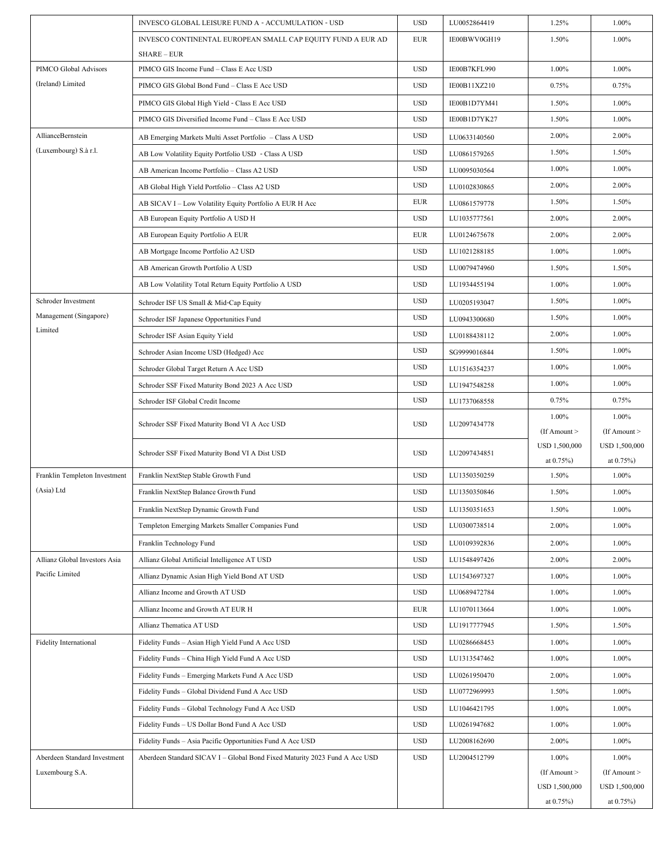|                                                 | INVESCO GLOBAL LEISURE FUND A - ACCUMULATION - USD                                | <b>USD</b> | LU0052864419 | 1.25%                      | 1.00%                      |
|-------------------------------------------------|-----------------------------------------------------------------------------------|------------|--------------|----------------------------|----------------------------|
|                                                 | INVESCO CONTINENTAL EUROPEAN SMALL CAP EQUITY FUND A EUR AD<br><b>SHARE – EUR</b> | <b>EUR</b> | IE00BWV0GH19 | 1.50%                      | 1.00%                      |
| PIMCO Global Advisors                           | PIMCO GIS Income Fund - Class E Acc USD                                           | <b>USD</b> | IE00B7KFL990 | 1.00%                      | 1.00%                      |
| (Ireland) Limited                               | PIMCO GIS Global Bond Fund - Class E Acc USD                                      | <b>USD</b> | IE00B11XZ210 | 0.75%                      | 0.75%                      |
|                                                 | PIMCO GIS Global High Yield - Class E Acc USD                                     | <b>USD</b> | IE00B1D7YM41 | 1.50%                      | 1.00%                      |
|                                                 | PIMCO GIS Diversified Income Fund - Class E Acc USD                               | <b>USD</b> | IE00B1D7YK27 | 1.50%                      | 1.00%                      |
| AllianceBernstein                               | AB Emerging Markets Multi Asset Portfolio - Class A USD                           | <b>USD</b> | LU0633140560 | 2.00%                      | 2.00%                      |
| (Luxembourg) S.à r.l.                           | AB Low Volatility Equity Portfolio USD - Class A USD                              | <b>USD</b> | LU0861579265 | 1.50%                      | 1.50%                      |
|                                                 | AB American Income Portfolio - Class A2 USD                                       | <b>USD</b> | LU0095030564 | 1.00%                      | 1.00%                      |
|                                                 | AB Global High Yield Portfolio - Class A2 USD                                     | <b>USD</b> | LU0102830865 | 2.00%                      | 2.00%                      |
|                                                 | AB SICAV I - Low Volatility Equity Portfolio A EUR H Acc                          | EUR        | LU0861579778 | 1.50%                      | 1.50%                      |
|                                                 | AB European Equity Portfolio A USD H                                              | <b>USD</b> | LU1035777561 | 2.00%                      | 2.00%                      |
|                                                 | AB European Equity Portfolio A EUR                                                | <b>EUR</b> | LU0124675678 | 2.00%                      | 2.00%                      |
|                                                 | AB Mortgage Income Portfolio A2 USD                                               | <b>USD</b> | LU1021288185 | 1.00%                      | 1.00%                      |
|                                                 | AB American Growth Portfolio A USD                                                | <b>USD</b> | LU0079474960 | 1.50%                      | 1.50%                      |
|                                                 | AB Low Volatility Total Return Equity Portfolio A USD                             | <b>USD</b> | LU1934455194 | 1.00%                      | 1.00%                      |
| Schroder Investment                             | Schroder ISF US Small & Mid-Cap Equity                                            | <b>USD</b> | LU0205193047 | 1.50%                      | 1.00%                      |
| Management (Singapore)                          | Schroder ISF Japanese Opportunities Fund                                          | <b>USD</b> | LU0943300680 | 1.50%                      | 1.00%                      |
| Limited                                         | Schroder ISF Asian Equity Yield                                                   | <b>USD</b> | LU0188438112 | 2.00%                      | 1.00%                      |
|                                                 | Schroder Asian Income USD (Hedged) Acc                                            | <b>USD</b> | SG9999016844 | 1.50%                      | 1.00%                      |
|                                                 | Schroder Global Target Return A Acc USD                                           | <b>USD</b> | LU1516354237 | 1.00%                      | 1.00%                      |
|                                                 | Schroder SSF Fixed Maturity Bond 2023 A Acc USD                                   | <b>USD</b> | LU1947548258 | 1.00%                      | 1.00%                      |
|                                                 | Schroder ISF Global Credit Income                                                 | <b>USD</b> | LU1737068558 | 0.75%                      | 0.75%                      |
|                                                 | Schroder SSF Fixed Maturity Bond VI A Acc USD                                     | <b>USD</b> | LU2097434778 | 1.00%                      | 1.00%                      |
|                                                 |                                                                                   |            |              | $($ If Amount $>$          | $($ If Amount $>$          |
|                                                 | Schroder SSF Fixed Maturity Bond VI A Dist USD                                    | <b>USD</b> | LU2097434851 | USD 1,500,000              | USD 1,500,000              |
| Franklin Templeton Investment                   | Franklin NextStep Stable Growth Fund                                              | <b>USD</b> | LU1350350259 | at $0.75%$<br>1.50%        | at $0.75%$<br>1.00%        |
| (Asia) Ltd                                      | Franklin NextStep Balance Growth Fund                                             | <b>USD</b> |              |                            |                            |
|                                                 |                                                                                   |            |              |                            |                            |
|                                                 |                                                                                   |            | LU1350350846 | 1.50%                      | 1.00%                      |
|                                                 | Franklin NextStep Dynamic Growth Fund                                             | <b>USD</b> | LU1350351653 | 1.50%                      | 1.00%                      |
|                                                 | Templeton Emerging Markets Smaller Companies Fund                                 | <b>USD</b> | LU0300738514 | 2.00%                      | 1.00%                      |
|                                                 | Franklin Technology Fund                                                          | <b>USD</b> | LU0109392836 | 2.00%                      | 1.00%                      |
| Allianz Global Investors Asia                   | Allianz Global Artificial Intelligence AT USD                                     | <b>USD</b> | LU1548497426 | 2.00%                      | 2.00%                      |
| Pacific Limited                                 | Allianz Dynamic Asian High Yield Bond AT USD                                      | <b>USD</b> | LU1543697327 | 1.00%                      | 1.00%                      |
|                                                 | Allianz Income and Growth AT USD                                                  | <b>USD</b> | LU0689472784 | 1.00%                      | 1.00%                      |
|                                                 | Allianz Income and Growth AT EUR H                                                | EUR        | LU1070113664 | 1.00%                      | 1.00%                      |
|                                                 | Allianz Thematica AT USD                                                          | <b>USD</b> | LU1917777945 | 1.50%                      | 1.50%                      |
| <b>Fidelity International</b>                   | Fidelity Funds - Asian High Yield Fund A Acc USD                                  | <b>USD</b> | LU0286668453 | 1.00%                      | 1.00%                      |
|                                                 | Fidelity Funds - China High Yield Fund A Acc USD                                  | <b>USD</b> | LU1313547462 | 1.00%                      | 1.00%                      |
|                                                 | Fidelity Funds - Emerging Markets Fund A Acc USD                                  | <b>USD</b> | LU0261950470 | 2.00%                      | 1.00%                      |
|                                                 | Fidelity Funds - Global Dividend Fund A Acc USD                                   | <b>USD</b> | LU0772969993 | 1.50%                      | 1.00%                      |
|                                                 | Fidelity Funds - Global Technology Fund A Acc USD                                 | <b>USD</b> | LU1046421795 | 1.00%                      | 1.00%                      |
|                                                 | Fidelity Funds - US Dollar Bond Fund A Acc USD                                    | <b>USD</b> | LU0261947682 | 1.00%                      | 1.00%                      |
|                                                 | Fidelity Funds - Asia Pacific Opportunities Fund A Acc USD                        | <b>USD</b> | LU2008162690 | 2.00%                      | 1.00%                      |
| Aberdeen Standard Investment<br>Luxembourg S.A. | Aberdeen Standard SICAV I - Global Bond Fixed Maturity 2023 Fund A Acc USD        | <b>USD</b> | LU2004512799 | 1.00%<br>$($ If Amount $>$ | 1.00%<br>$($ If Amount $>$ |
|                                                 |                                                                                   |            |              | USD 1,500,000              | USD 1,500,000              |